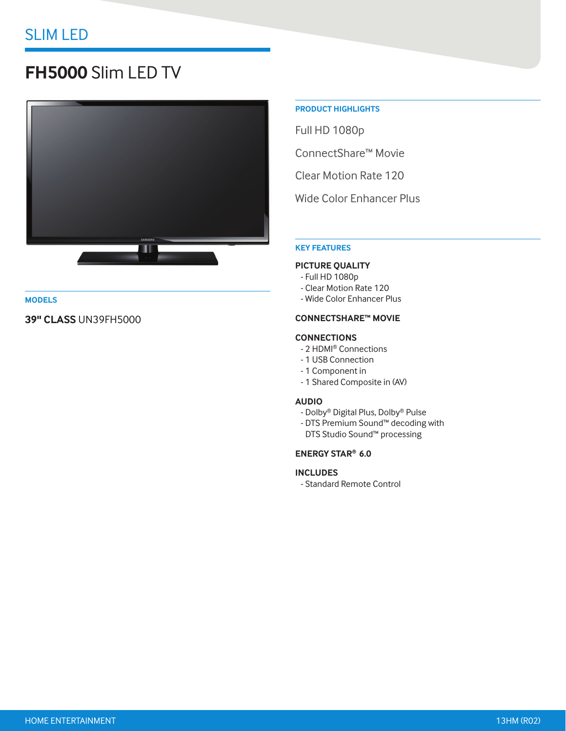# **FH5000** Slim LED TV



## **MODELS**

## **39" CLASS** UN39FH5000

## **PRODUCT HIGHLIGHTS**

Full HD 1080p

ConnectShare™ Movie

Clear Motion Rate 120

Wide Color Enhancer Plus

#### **KEY FEATURES**

#### **PICTURE QUALITY**

- Full HD 1080p
- Clear Motion Rate 120
- Wide Color Enhancer Plus

### **CONNECTSHARE™ MOVIE**

## **CONNECTIONS**

- 2 HDMI® Connections
- 1 USB Connection
- 1 Component in
- 1 Shared Composite in (AV)

#### **AUDIO**

- Dolby® Digital Plus, Dolby® Pulse
- DTS Premium Sound™ decoding with DTS Studio Sound™ processing

## **ENERGY STAR® 6.0**

## **INCLUDES**

- Standard Remote Control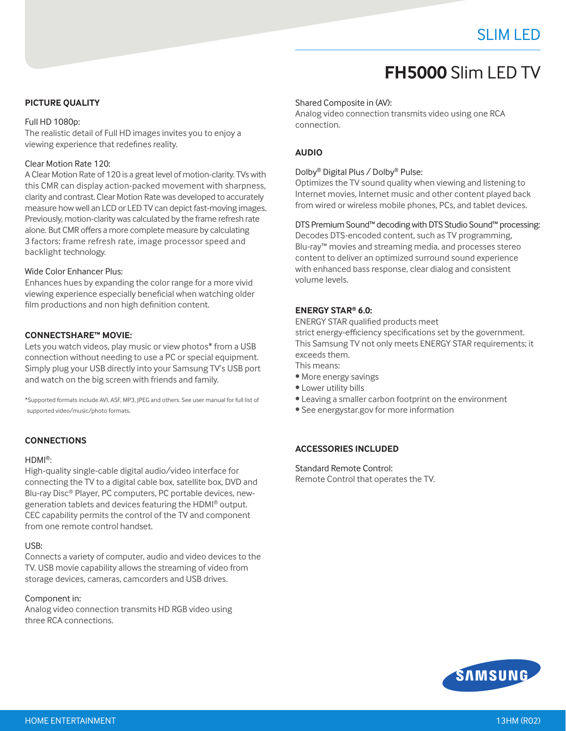# **FH5000** Slim LED TV

## **PICTURE QUALITY**

#### Full HD 1080p:

The realistic detail of Full HD images invites you to enjoy a viewing experience that redefines reality.

### Clear Motion Rate 120:

A Clear Motion Rate of 120 is a great level of motion-clarity. TVs with this CMR can display action-packed movement with sharpness, clarity and contrast. Clear Motion Rate was developed to accurately measure how well an LCD or LED TV can depict fast-moving images. Previously, motion-clarity was calculated by the frame refresh rate alone. But CMR offers a more complete measure by calculating 3 factors: frame refresh rate, image processor speed and backlight technology.

#### Wide Color Enhancer Plus:

Enhances hues by expanding the color range for a more vivid viewing experience especially beneficial when watching older film productions and non high definition content.

#### **CONNECTSHARE™ MOVIE:**

Lets you watch videos, play music or view photos\* from a USB connection without needing to use a PC or special equipment. Simply plug your USB directly into your Samsung TV's USB port and watch on the big screen with friends and family.

\*Supported formats include AVI, ASF, MP3, JPEG and others. See user manual for full list of supported video/music/photo formats**.** 

#### **CONNECTIONS**

#### HDMI®:

High-quality single-cable digital audio/video interface for connecting the TV to a digital cable box, satellite box, DVD and Blu-ray Disc® Player, PC computers, PC portable devices, newgeneration tablets and devices featuring the HDMI® output. CEC capability permits the control of the TV and component from one remote control handset.

#### USB:

Connects a variety of computer, audio and video devices to the TV. USB movie capability allows the streaming of video from storage devices, cameras, camcorders and USB drives.

## Component in:

Analog video connection transmits HD RGB video using three RCA connections.

#### Shared Composite in (AV):

Analog video connection transmits video using one RCA connection.

## **AUDIO**

#### Dolby® Digital Plus / Dolby® Pulse:

Optimizes the TV sound quality when viewing and listening to Internet movies, Internet music and other content played back from wired or wireless mobile phones, PCs, and tablet devices.

## DTS Premium Sound™ decoding with DTS Studio Sound™ processing:

Decodes DTS-encoded content, such as TV programming, Blu-ray™ movies and streaming media, and processes stereo content to deliver an optimized surround sound experience with enhanced bass response, clear dialog and consistent volume levels.

## **ENERGY STAR® 6.0:**

ENERGY STAR qualified products meet strict energy-efficiency specifications set by the government. This Samsung TV not only meets ENERGY STAR requirements; it exceeds them.

This means:

- More energy savings
- Lower utility bills
- Leaving a smaller carbon footprint on the environment
- See energystar.gov for more information

## **ACCESSORIES INCLUDED**

Standard Remote Control: Remote Control that operates the TV.